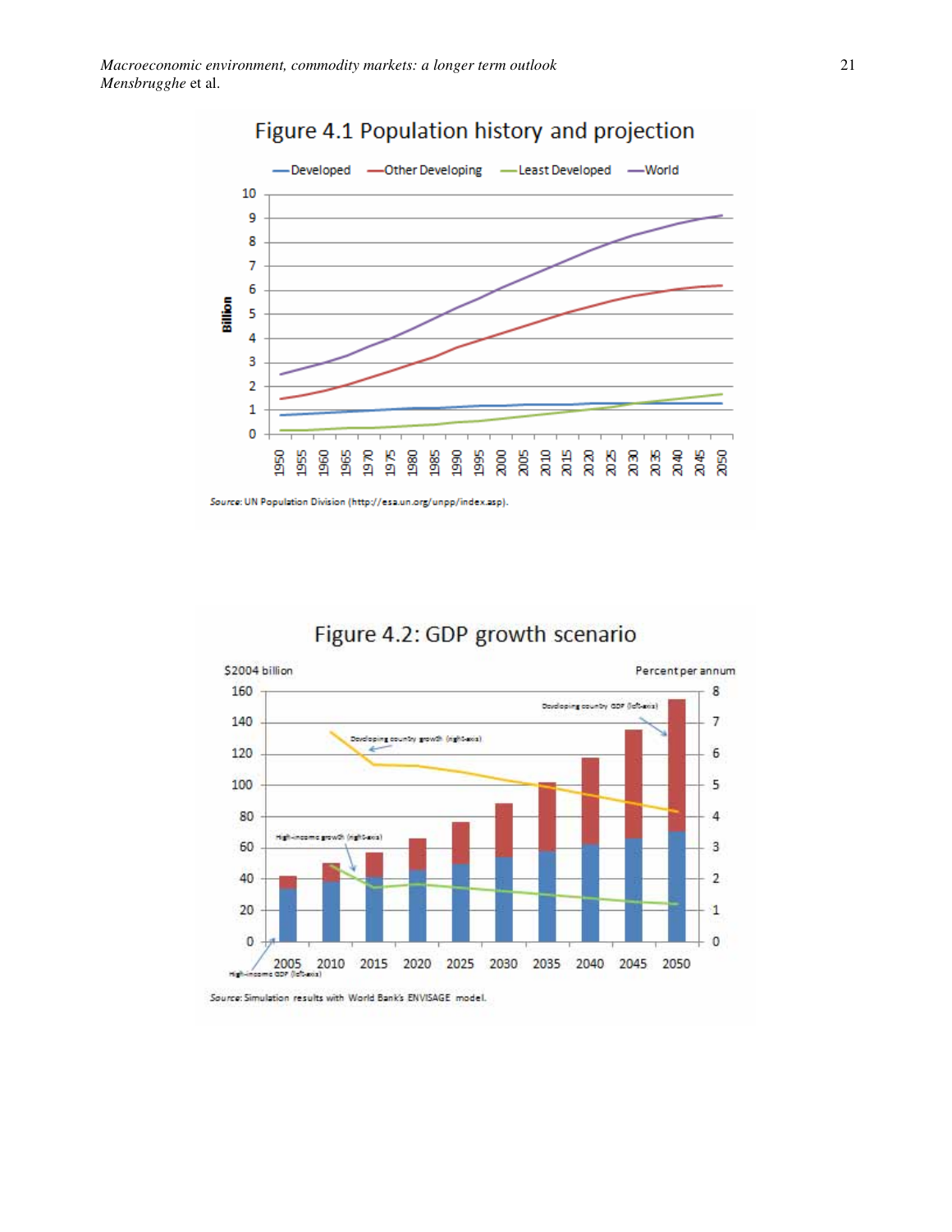

# Figure 4.1 Population history and projection

Source: UN Population Division (http://esa.un.org/unpp/index.asp).





Source: Simulation results with World Bank's ENVISAGE model.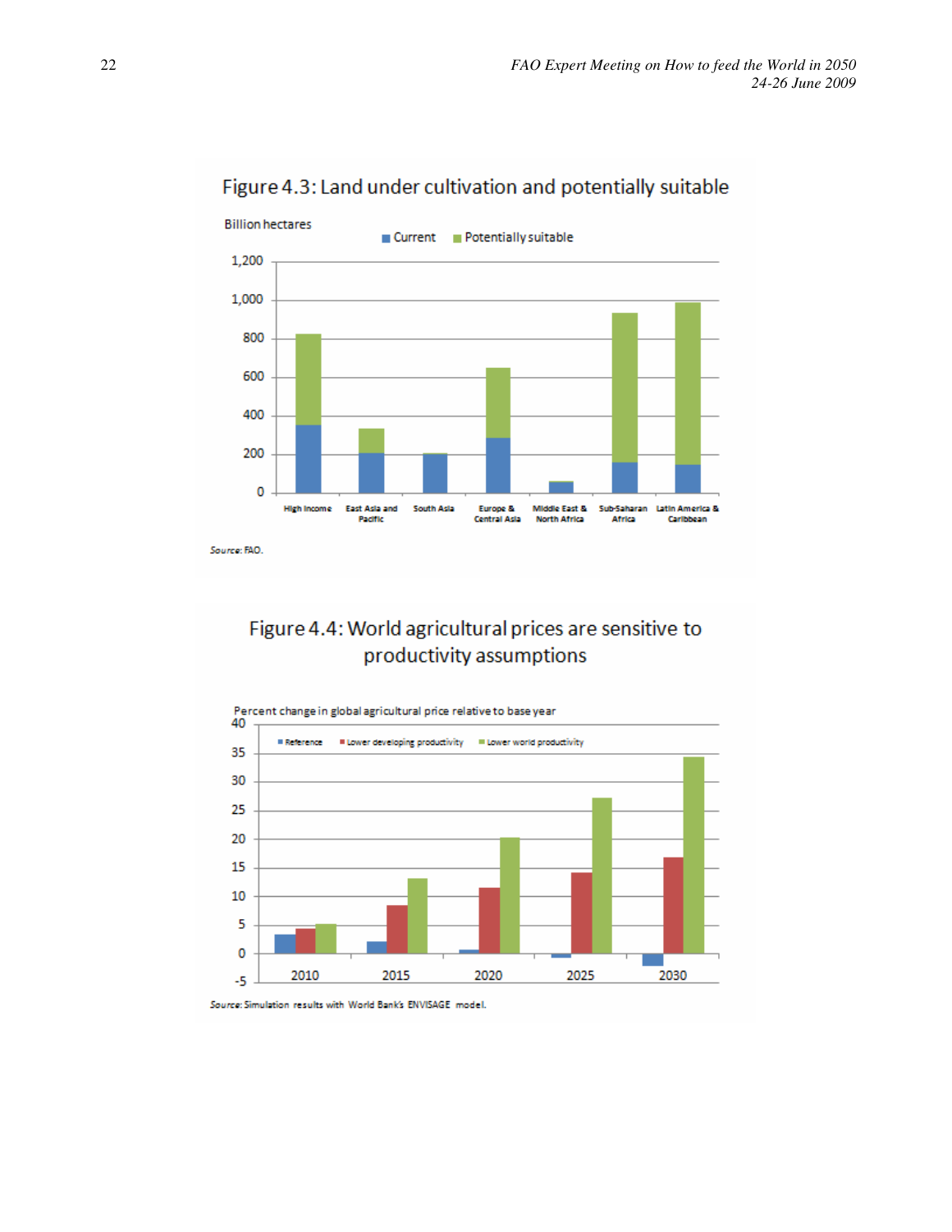

Figure 4.3: Land under cultivation and potentially suitable

#### Figure 4.4: World agricultural prices are sensitive to productivity assumptions



Source: Simulation results with World Bank's ENVISAGE model.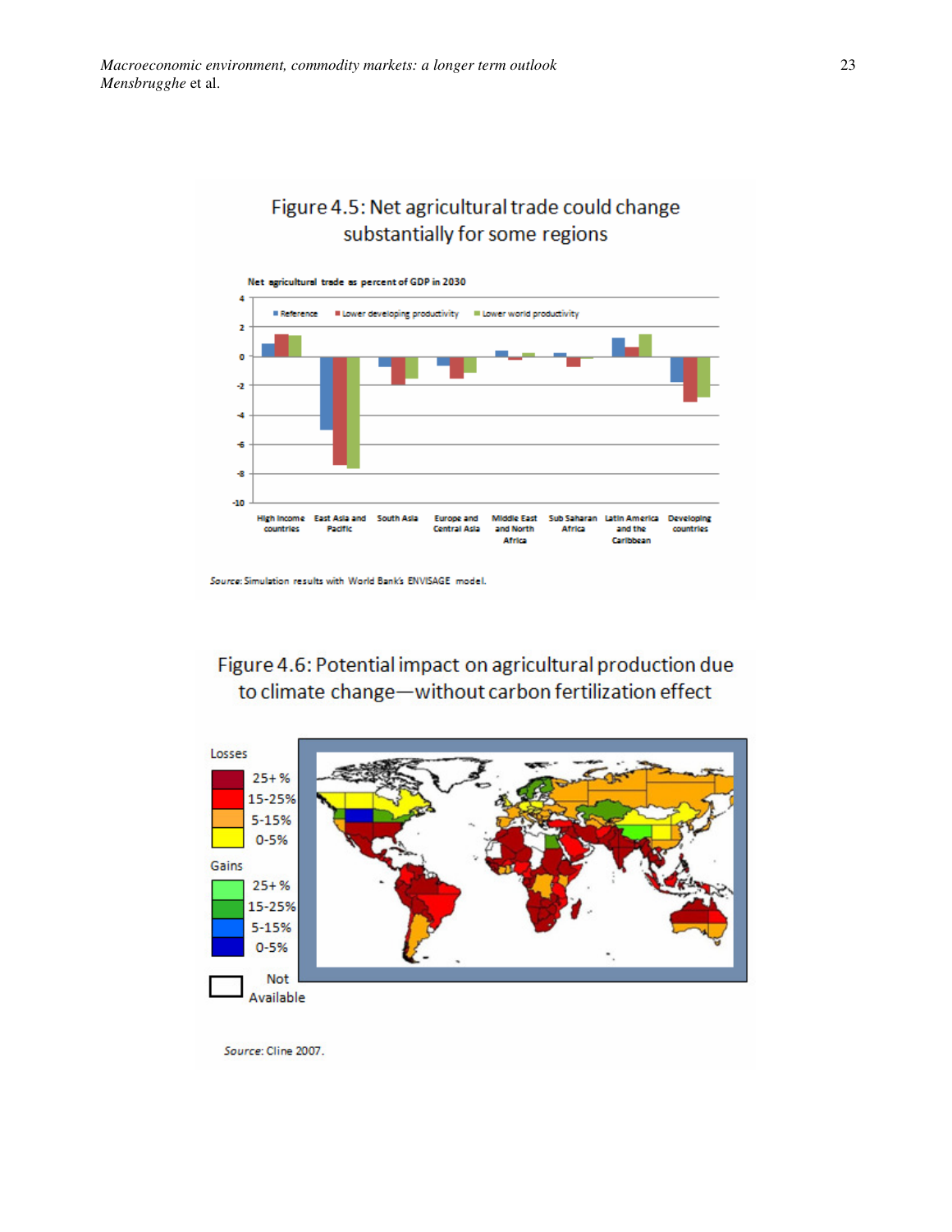#### Figure 4.5: Net agricultural trade could change substantially for some regions



Source: Simulation results with World Bank's ENVISAGE model.

## Figure 4.6: Potential impact on agricultural production due to climate change-without carbon fertilization effect

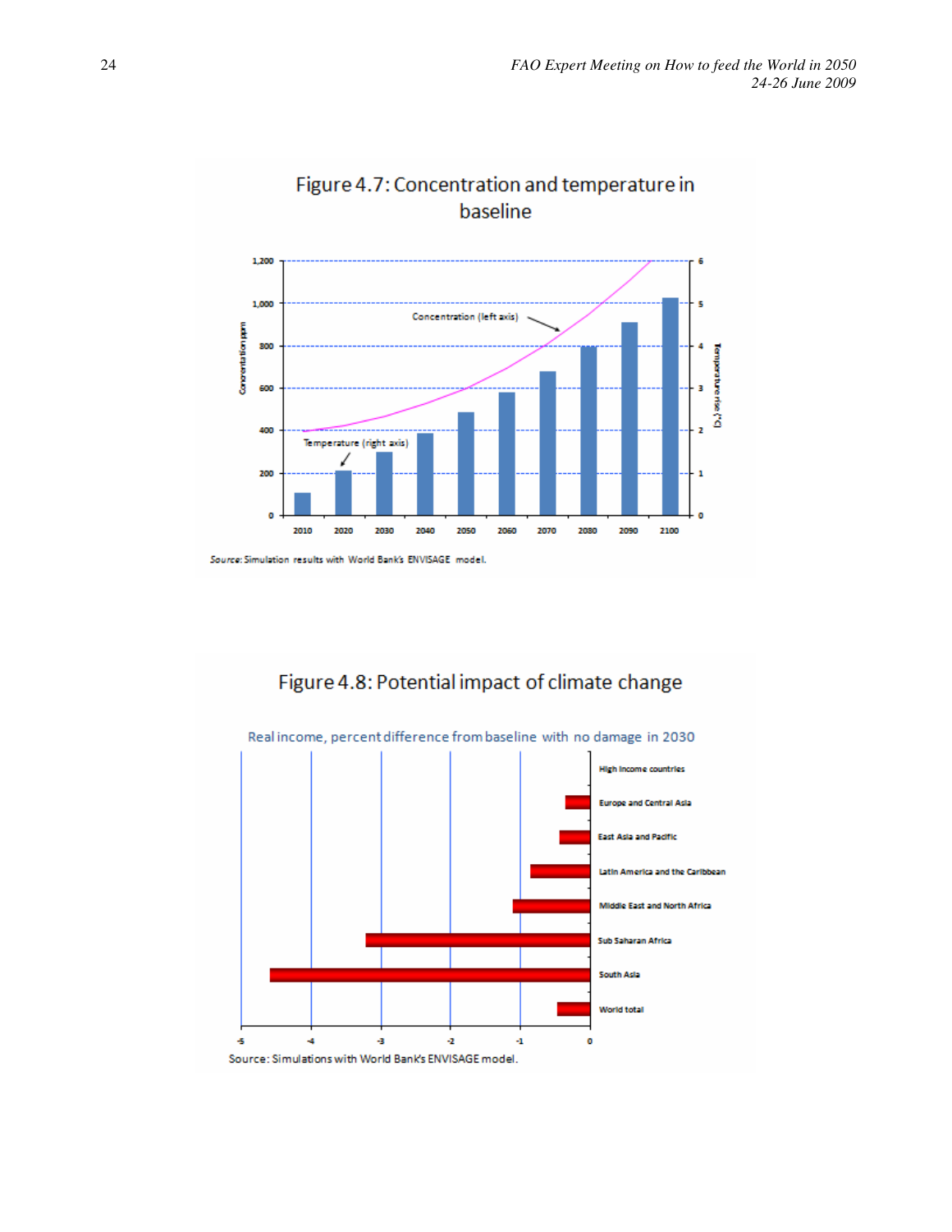

# Figure 4.7: Concentration and temperature in

Source: Simulation results with World Bank's ENVISAGE model.

Figure 4.8: Potential impact of climate change

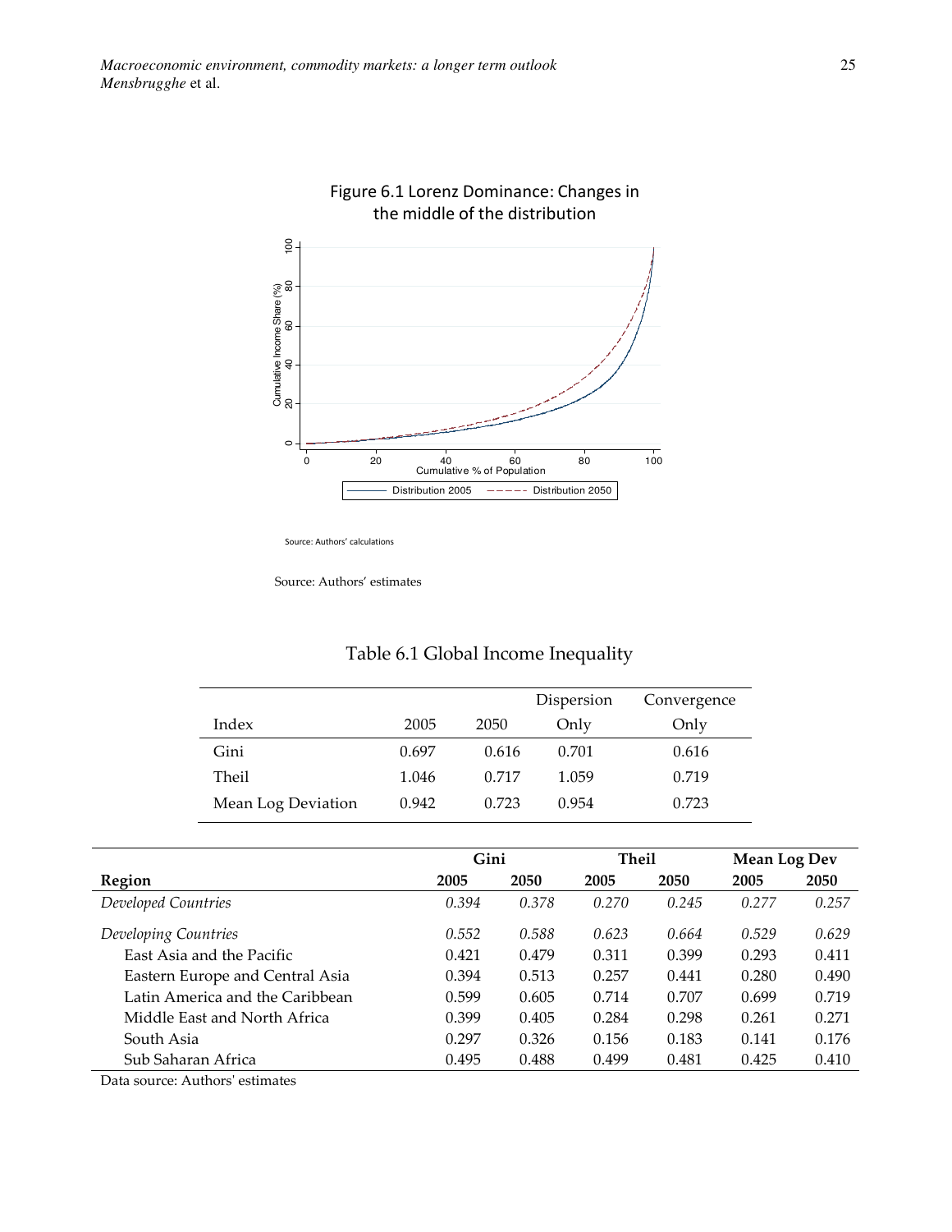

# Figure 6.1 Lorenz Dominance: Changes in the middle of the distribution

Source: Authors' calculations

Source: Authors' estimates

|                    |       |       | Dispersion | Convergence |
|--------------------|-------|-------|------------|-------------|
| Index              | 2005  | 2050  | Only       | Only        |
| Gini               | 0.697 | 0.616 | 0.701      | 0.616       |
| Theil              | 1.046 | 0.717 | 1.059      | 0.719       |
| Mean Log Deviation | 0.942 | 0.723 | 0.954      | 0.723       |

#### Table 6.1 Global Income Inequality

|                                 | Gini  |       | <b>Theil</b> |       | <b>Mean Log Dev</b> |       |
|---------------------------------|-------|-------|--------------|-------|---------------------|-------|
| Region                          | 2005  | 2050  | 2005         | 2050  | 2005                | 2050  |
| Developed Countries             | 0.394 | 0.378 | 0.270        | 0.245 | 0.277               | 0.257 |
| Developing Countries            | 0.552 | 0.588 | 0.623        | 0.664 | 0.529               | 0.629 |
| East Asia and the Pacific       | 0.421 | 0.479 | 0.311        | 0.399 | 0.293               | 0.411 |
| Eastern Europe and Central Asia | 0.394 | 0.513 | 0.257        | 0.441 | 0.280               | 0.490 |
| Latin America and the Caribbean | 0.599 | 0.605 | 0.714        | 0.707 | 0.699               | 0.719 |
| Middle East and North Africa    | 0.399 | 0.405 | 0.284        | 0.298 | 0.261               | 0.271 |
| South Asia                      | 0.297 | 0.326 | 0.156        | 0.183 | 0.141               | 0.176 |
| Sub Saharan Africa              | 0.495 | 0.488 | 0.499        | 0.481 | 0.425               | 0.410 |

Data source: Authors' estimates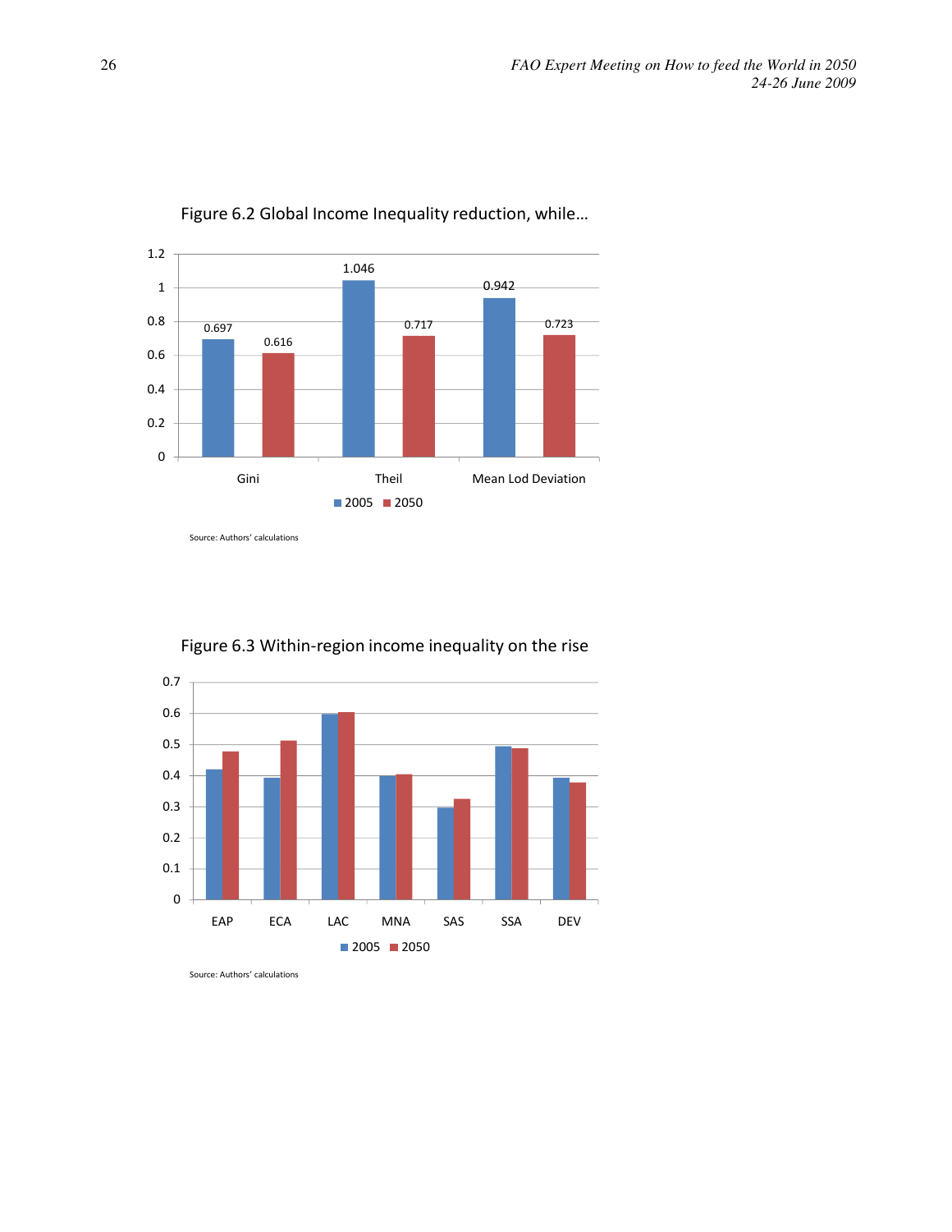

Figure 6.2 Global Income Inequality reduction, while…

Source: Authors' calculations



Figure 6.3 Within-region income inequality on the rise

Source: Authors' calculations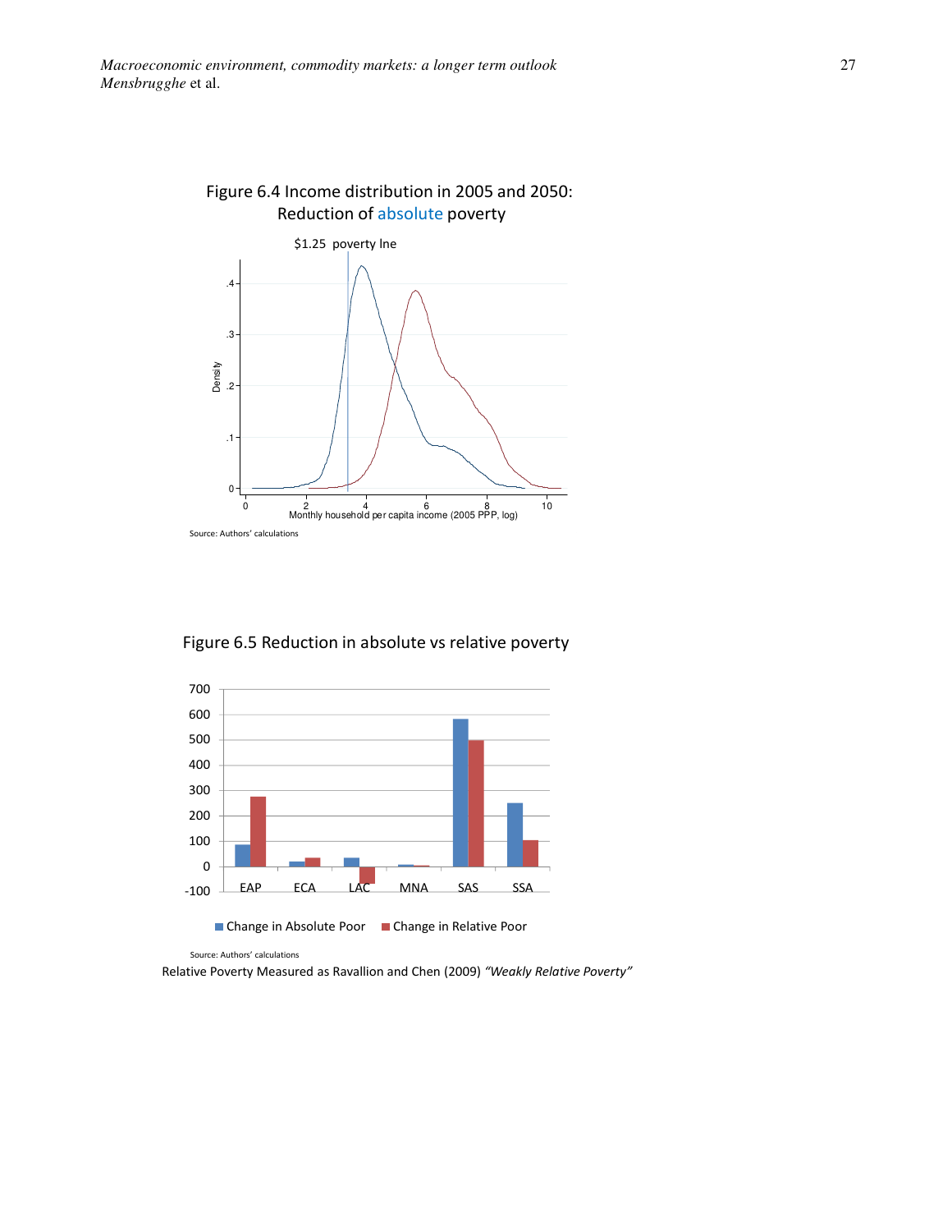

Figure 6.4 Income distribution in 2005 and 2050: Reduction of absolute poverty

Figure 6.5 Reduction in absolute vs relative poverty



Source: Authors' calculations

Relative Poverty Measured as Ravallion and Chen (2009) "Weakly Relative Poverty"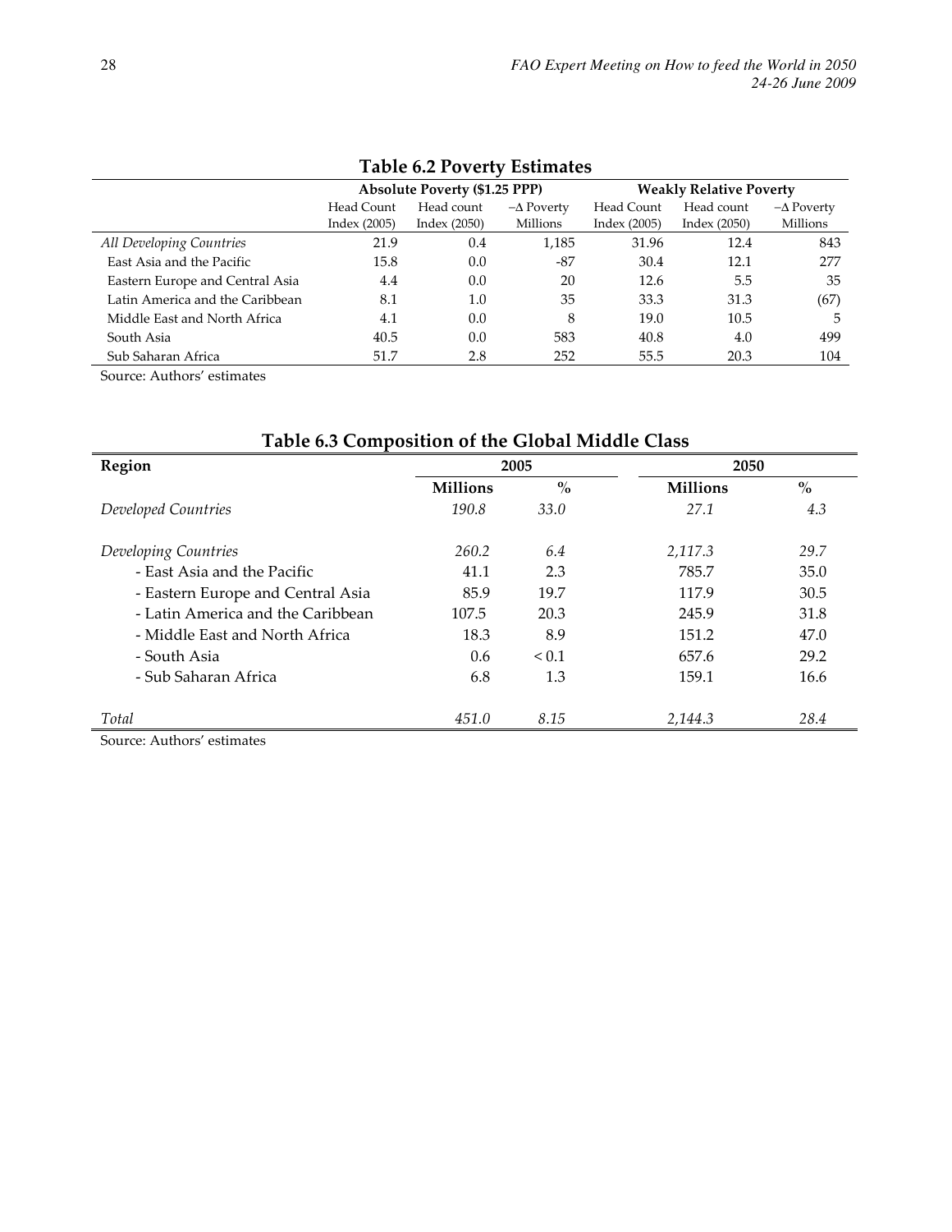| Table 6.2 Poverty Estimates     |                                      |                |                   |                                |                |                   |  |
|---------------------------------|--------------------------------------|----------------|-------------------|--------------------------------|----------------|-------------------|--|
|                                 | <b>Absolute Poverty (\$1.25 PPP)</b> |                |                   | <b>Weakly Relative Poverty</b> |                |                   |  |
|                                 | Head Count                           | Head count     | $-\Delta$ Poverty | Head Count                     | Head count     | $-\Delta$ Poverty |  |
|                                 | Index $(2005)$                       | Index $(2050)$ | Millions          | Index (2005)                   | Index $(2050)$ | Millions          |  |
| All Developing Countries        | 21.9                                 | 0.4            | 1,185             | 31.96                          | 12.4           | 843               |  |
| East Asia and the Pacific       | 15.8                                 | 0.0            | -87               | 30.4                           | 12.1           | 277               |  |
| Eastern Europe and Central Asia | 4.4                                  | 0.0            | 20                | 12.6                           | 5.5            | 35                |  |
| Latin America and the Caribbean | 8.1                                  | 1.0            | 35                | 33.3                           | 31.3           | (67)              |  |
| Middle East and North Africa    | 4.1                                  | 0.0            | 8                 | 19.0                           | 10.5           | 5                 |  |
| South Asia                      | 40.5                                 | 0.0            | 583               | 40.8                           | 4.0            | 499               |  |
| Sub Saharan Africa              | 51.7                                 | 2.8            | 252               | 55.5                           | 20.3           | 104               |  |

## $T_{\rm eff}$  1.1  $\epsilon$  6.2  $D_{\rm cross}$  that  $T_{\rm eff}$ .

Source: Authors' estimates

## Table 6.3 Composition of the Global Middle Class

| Region                            |                 | 2005       | 2050            |               |  |
|-----------------------------------|-----------------|------------|-----------------|---------------|--|
|                                   | <b>Millions</b> | $\%$       | <b>Millions</b> | $\frac{0}{0}$ |  |
| Developed Countries               | 190.8           | 33.0       | 27.1            | 4.3           |  |
| Developing Countries              | 260.2           | 6.4        | 2,117.3         | 29.7          |  |
| - East Asia and the Pacific       | 41.1            | 2.3        | 785.7           | 35.0          |  |
| - Eastern Europe and Central Asia | 85.9            | 19.7       | 117.9           | 30.5          |  |
| - Latin America and the Caribbean | 107.5           | 20.3       | 245.9           | 31.8          |  |
| - Middle East and North Africa    | 18.3            | 8.9        | 151.2           | 47.0          |  |
| - South Asia                      | 0.6             | ${}_{0.1}$ | 657.6           | 29.2          |  |
| - Sub Saharan Africa              | 6.8             | 1.3        | 159.1           | 16.6          |  |
| Total                             | 451.0           | 8.15       | 2,144.3         | 28.4          |  |

Source: Authors' estimates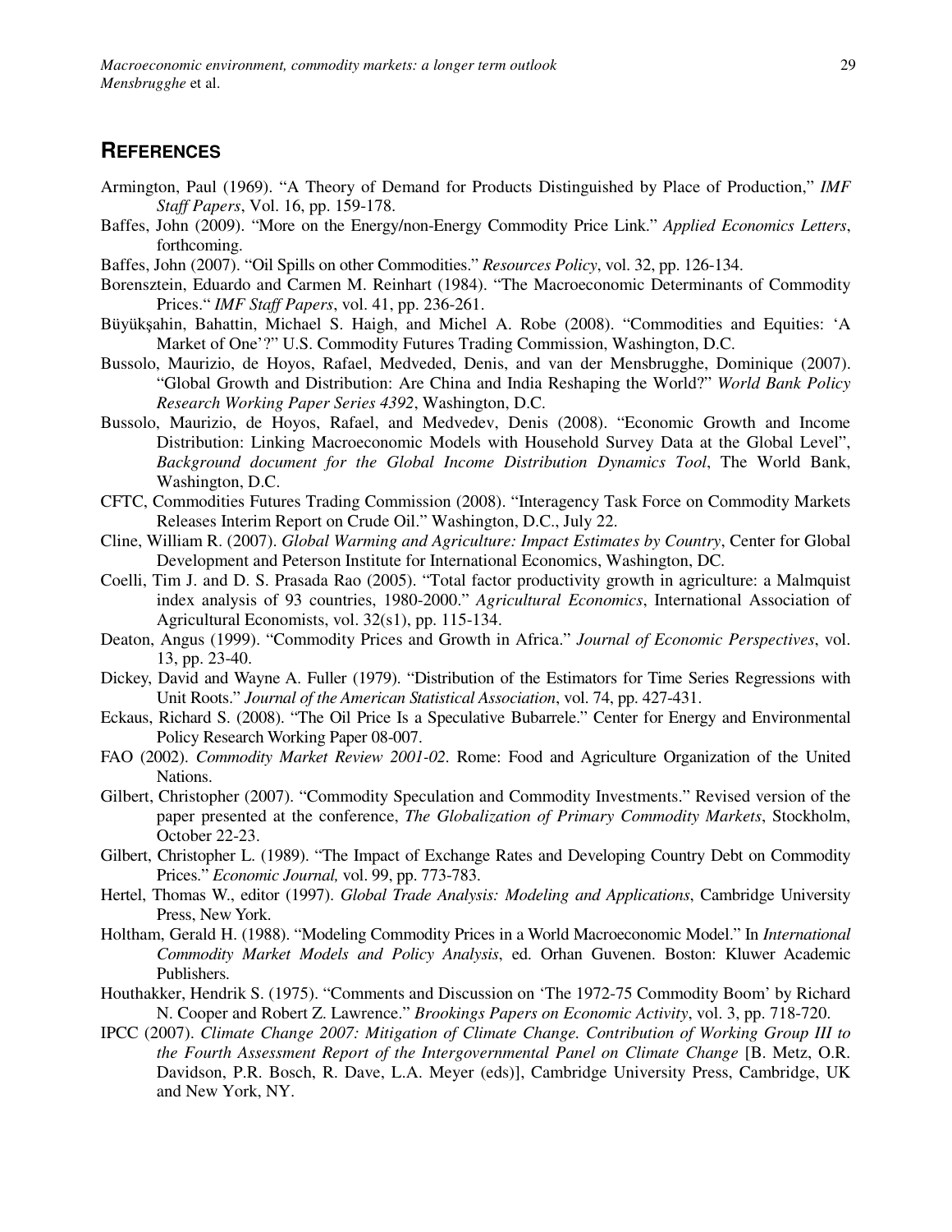#### **REFERENCES**

- Armington, Paul (1969). "A Theory of Demand for Products Distinguished by Place of Production," *IMF Staff Papers*, Vol. 16, pp. 159-178.
- Baffes, John (2009). "More on the Energy/non-Energy Commodity Price Link." *Applied Economics Letters*, forthcoming.
- Baffes, John (2007). "Oil Spills on other Commodities." *Resources Policy*, vol. 32, pp. 126-134.
- Borensztein, Eduardo and Carmen M. Reinhart (1984). "The Macroeconomic Determinants of Commodity Prices." *IMF Staff Papers*, vol. 41, pp. 236-261.
- Büyükşahin, Bahattin, Michael S. Haigh, and Michel A. Robe (2008). "Commodities and Equities: 'A Market of One'?" U.S. Commodity Futures Trading Commission, Washington, D.C.
- Bussolo, Maurizio, de Hoyos, Rafael, Medveded, Denis, and van der Mensbrugghe, Dominique (2007). "Global Growth and Distribution: Are China and India Reshaping the World?" *World Bank Policy Research Working Paper Series 4392*, Washington, D.C.
- Bussolo, Maurizio, de Hoyos, Rafael, and Medvedev, Denis (2008). "Economic Growth and Income Distribution: Linking Macroeconomic Models with Household Survey Data at the Global Level", *Background document for the Global Income Distribution Dynamics Tool*, The World Bank, Washington, D.C.
- CFTC, Commodities Futures Trading Commission (2008). "Interagency Task Force on Commodity Markets Releases Interim Report on Crude Oil." Washington, D.C., July 22.
- Cline, William R. (2007). *Global Warming and Agriculture: Impact Estimates by Country*, Center for Global Development and Peterson Institute for International Economics, Washington, DC.
- Coelli, Tim J. and D. S. Prasada Rao (2005). "Total factor productivity growth in agriculture: a Malmquist index analysis of 93 countries, 1980-2000." *Agricultural Economics*, International Association of Agricultural Economists, vol. 32(s1), pp. 115-134.
- Deaton, Angus (1999). "Commodity Prices and Growth in Africa." *Journal of Economic Perspectives*, vol. 13, pp. 23-40.
- Dickey, David and Wayne A. Fuller (1979). "Distribution of the Estimators for Time Series Regressions with Unit Roots." *Journal of the American Statistical Association*, vol. 74, pp. 427-431.
- Eckaus, Richard S. (2008). "The Oil Price Is a Speculative Bubarrele." Center for Energy and Environmental Policy Research Working Paper 08-007.
- FAO (2002). *Commodity Market Review 2001-02*. Rome: Food and Agriculture Organization of the United Nations.
- Gilbert, Christopher (2007). "Commodity Speculation and Commodity Investments." Revised version of the paper presented at the conference, *The Globalization of Primary Commodity Markets*, Stockholm, October 22-23.
- Gilbert, Christopher L. (1989). "The Impact of Exchange Rates and Developing Country Debt on Commodity Prices." *Economic Journal,* vol. 99, pp. 773-783.
- Hertel, Thomas W., editor (1997). *Global Trade Analysis: Modeling and Applications*, Cambridge University Press, New York.
- Holtham, Gerald H. (1988). "Modeling Commodity Prices in a World Macroeconomic Model." In *International Commodity Market Models and Policy Analysis*, ed. Orhan Guvenen. Boston: Kluwer Academic Publishers.
- Houthakker, Hendrik S. (1975). "Comments and Discussion on 'The 1972-75 Commodity Boom' by Richard N. Cooper and Robert Z. Lawrence." *Brookings Papers on Economic Activity*, vol. 3, pp. 718-720.
- IPCC (2007). *Climate Change 2007: Mitigation of Climate Change. Contribution of Working Group III to the Fourth Assessment Report of the Intergovernmental Panel on Climate Change* [B. Metz, O.R. Davidson, P.R. Bosch, R. Dave, L.A. Meyer (eds)], Cambridge University Press, Cambridge, UK and New York, NY.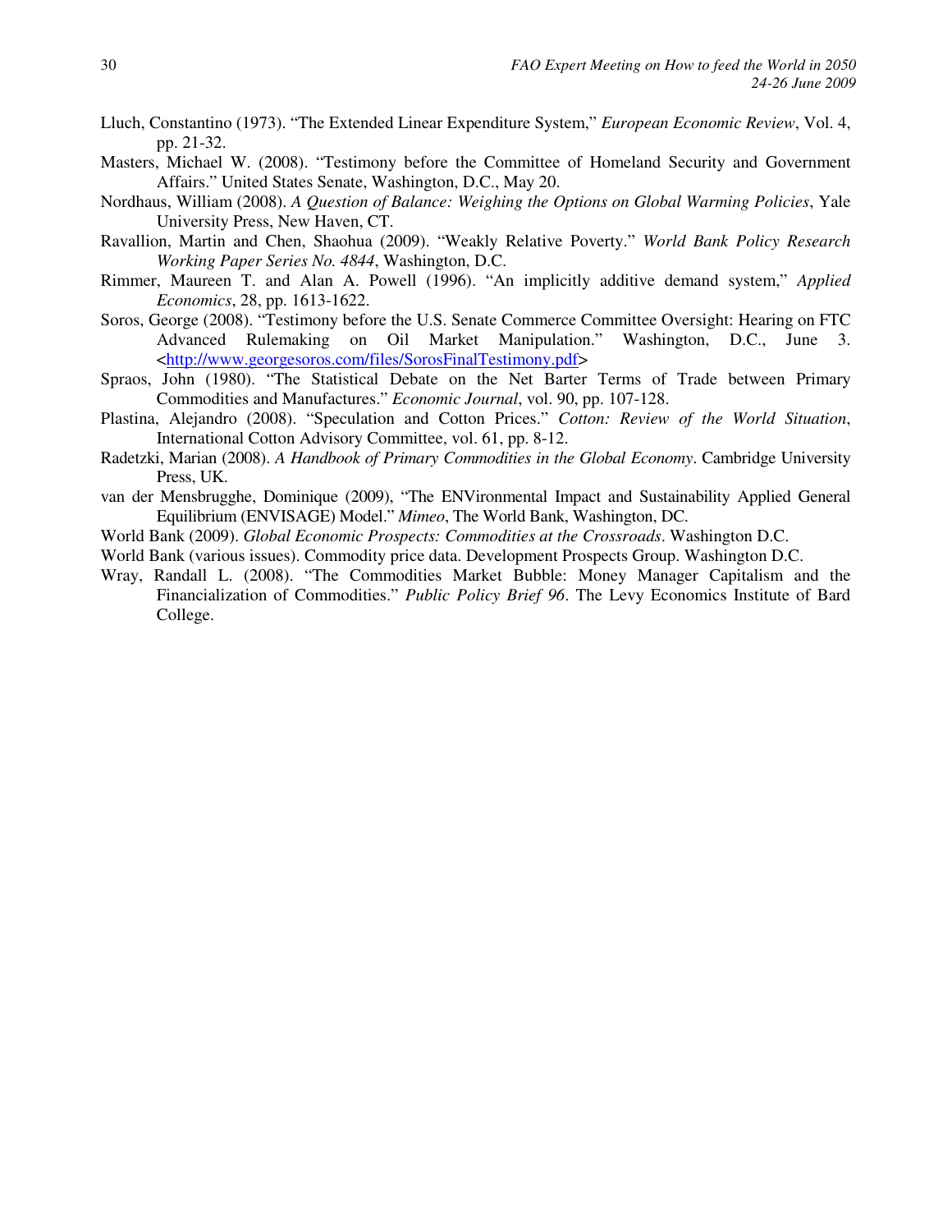- Lluch, Constantino (1973). "The Extended Linear Expenditure System," *European Economic Review*, Vol. 4, pp. 21-32.
- Masters, Michael W. (2008). "Testimony before the Committee of Homeland Security and Government Affairs." United States Senate, Washington, D.C., May 20.
- Nordhaus, William (2008). *A Question of Balance: Weighing the Options on Global Warming Policies*, Yale University Press, New Haven, CT.
- Ravallion, Martin and Chen, Shaohua (2009). "Weakly Relative Poverty." *World Bank Policy Research Working Paper Series No. 4844*, Washington, D.C.
- Rimmer, Maureen T. and Alan A. Powell (1996). "An implicitly additive demand system," *Applied Economics*, 28, pp. 1613-1622.
- Soros, George (2008). "Testimony before the U.S. Senate Commerce Committee Oversight: Hearing on FTC Advanced Rulemaking on Oil Market Manipulation." Washington, D.C., June 3. <http://www.georgesoros.com/files/SorosFinalTestimony.pdf>
- Spraos, John (1980). "The Statistical Debate on the Net Barter Terms of Trade between Primary Commodities and Manufactures." *Economic Journal*, vol. 90, pp. 107-128.
- Plastina, Alejandro (2008). "Speculation and Cotton Prices." *Cotton: Review of the World Situation*, International Cotton Advisory Committee, vol. 61, pp. 8-12.
- Radetzki, Marian (2008). *A Handbook of Primary Commodities in the Global Economy*. Cambridge University Press, UK.
- van der Mensbrugghe, Dominique (2009), "The ENVironmental Impact and Sustainability Applied General Equilibrium (ENVISAGE) Model." *Mimeo*, The World Bank, Washington, DC.
- World Bank (2009). *Global Economic Prospects: Commodities at the Crossroads*. Washington D.C.
- World Bank (various issues). Commodity price data. Development Prospects Group. Washington D.C.
- Wray, Randall L. (2008). "The Commodities Market Bubble: Money Manager Capitalism and the Financialization of Commodities." *Public Policy Brief 96*. The Levy Economics Institute of Bard College.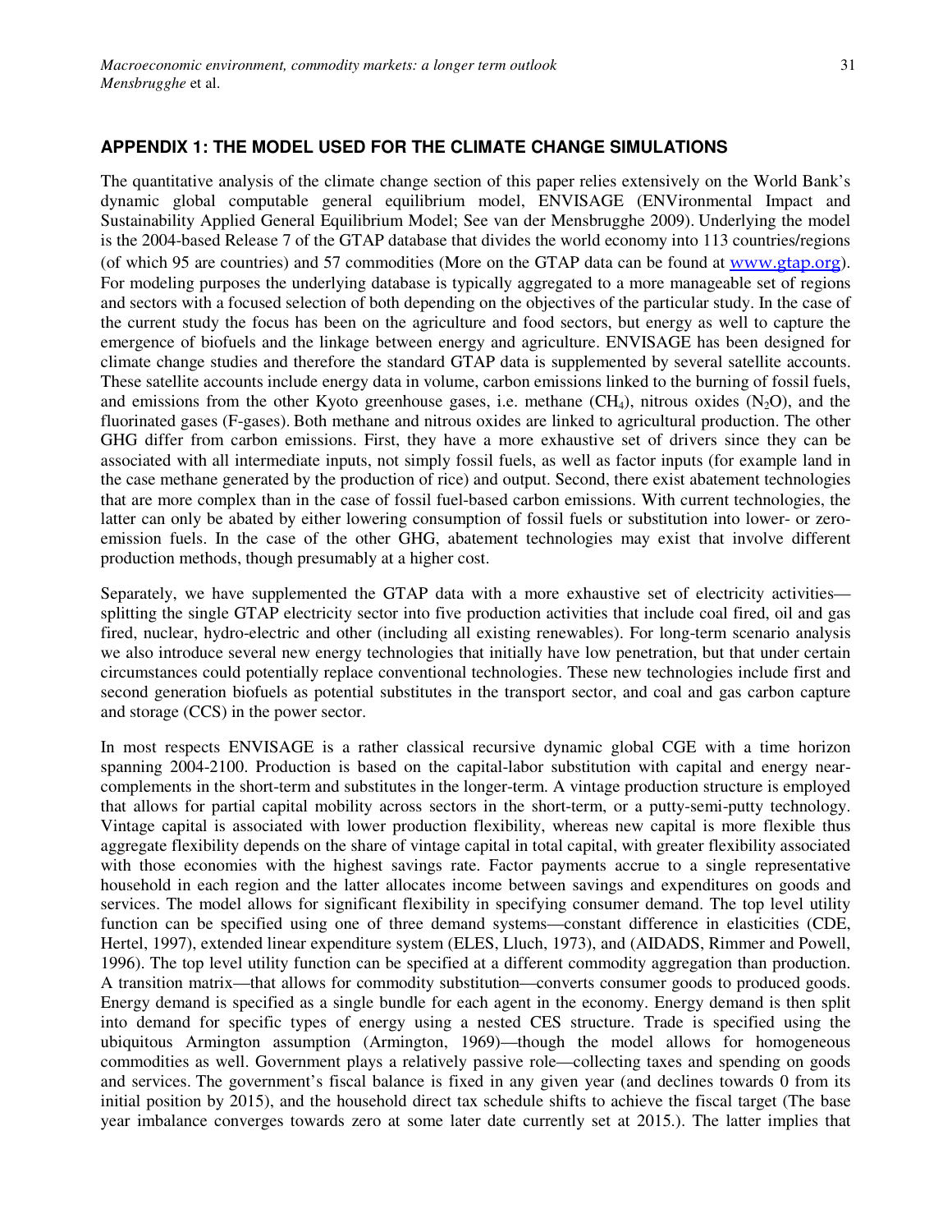#### **APPENDIX 1: THE MODEL USED FOR THE CLIMATE CHANGE SIMULATIONS**

The quantitative analysis of the climate change section of this paper relies extensively on the World Bank's dynamic global computable general equilibrium model, ENVISAGE (ENVironmental Impact and Sustainability Applied General Equilibrium Model; See van der Mensbrugghe 2009). Underlying the model is the 2004-based Release 7 of the GTAP database that divides the world economy into 113 countries/regions (of which 95 are countries) and 57 commodities (More on the GTAP data can be found at www.gtap.org). For modeling purposes the underlying database is typically aggregated to a more manageable set of regions and sectors with a focused selection of both depending on the objectives of the particular study. In the case of the current study the focus has been on the agriculture and food sectors, but energy as well to capture the emergence of biofuels and the linkage between energy and agriculture. ENVISAGE has been designed for climate change studies and therefore the standard GTAP data is supplemented by several satellite accounts. These satellite accounts include energy data in volume, carbon emissions linked to the burning of fossil fuels, and emissions from the other Kyoto greenhouse gases, i.e. methane  $(CH_4)$ , nitrous oxides  $(N_2O)$ , and the fluorinated gases (F-gases). Both methane and nitrous oxides are linked to agricultural production. The other GHG differ from carbon emissions. First, they have a more exhaustive set of drivers since they can be associated with all intermediate inputs, not simply fossil fuels, as well as factor inputs (for example land in the case methane generated by the production of rice) and output. Second, there exist abatement technologies that are more complex than in the case of fossil fuel-based carbon emissions. With current technologies, the latter can only be abated by either lowering consumption of fossil fuels or substitution into lower- or zeroemission fuels. In the case of the other GHG, abatement technologies may exist that involve different production methods, though presumably at a higher cost.

Separately, we have supplemented the GTAP data with a more exhaustive set of electricity activities splitting the single GTAP electricity sector into five production activities that include coal fired, oil and gas fired, nuclear, hydro-electric and other (including all existing renewables). For long-term scenario analysis we also introduce several new energy technologies that initially have low penetration, but that under certain circumstances could potentially replace conventional technologies. These new technologies include first and second generation biofuels as potential substitutes in the transport sector, and coal and gas carbon capture and storage (CCS) in the power sector.

In most respects ENVISAGE is a rather classical recursive dynamic global CGE with a time horizon spanning 2004-2100. Production is based on the capital-labor substitution with capital and energy nearcomplements in the short-term and substitutes in the longer-term. A vintage production structure is employed that allows for partial capital mobility across sectors in the short-term, or a putty-semi-putty technology. Vintage capital is associated with lower production flexibility, whereas new capital is more flexible thus aggregate flexibility depends on the share of vintage capital in total capital, with greater flexibility associated with those economies with the highest savings rate. Factor payments accrue to a single representative household in each region and the latter allocates income between savings and expenditures on goods and services. The model allows for significant flexibility in specifying consumer demand. The top level utility function can be specified using one of three demand systems—constant difference in elasticities (CDE, Hertel, 1997), extended linear expenditure system (ELES, Lluch, 1973), and (AIDADS, Rimmer and Powell, 1996). The top level utility function can be specified at a different commodity aggregation than production. A transition matrix—that allows for commodity substitution—converts consumer goods to produced goods. Energy demand is specified as a single bundle for each agent in the economy. Energy demand is then split into demand for specific types of energy using a nested CES structure. Trade is specified using the ubiquitous Armington assumption (Armington, 1969)—though the model allows for homogeneous commodities as well. Government plays a relatively passive role—collecting taxes and spending on goods and services. The government's fiscal balance is fixed in any given year (and declines towards 0 from its initial position by 2015), and the household direct tax schedule shifts to achieve the fiscal target (The base year imbalance converges towards zero at some later date currently set at 2015.). The latter implies that